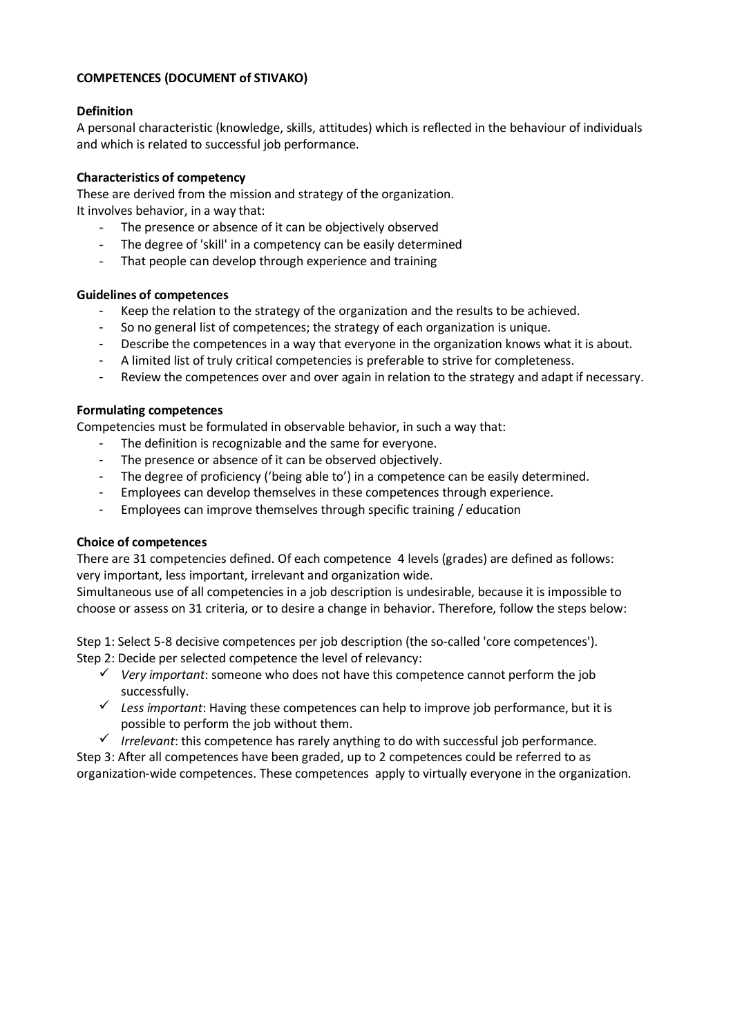# **COMPETENCES (DOCUMENT of STIVAKO)**

## **Definition**

A personal characteristic (knowledge, skills, attitudes) which is reflected in the behaviour of individuals and which is related to successful job performance.

# **Characteristics of competency**

These are derived from the mission and strategy of the organization. It involves behavior, in a way that:

- The presence or absence of it can be objectively observed
- The degree of 'skill' in a competency can be easily determined
- That people can develop through experience and training

### **Guidelines of competences**

- Keep the relation to the strategy of the organization and the results to be achieved.
- So no general list of competences; the strategy of each organization is unique.
- Describe the competences in a way that everyone in the organization knows what it is about.
- A limited list of truly critical competencies is preferable to strive for completeness.
- Review the competences over and over again in relation to the strategy and adapt if necessary.

# **Formulating competences**

Competencies must be formulated in observable behavior, in such a way that:

- The definition is recognizable and the same for everyone.
- The presence or absence of it can be observed objectively.
- The degree of proficiency ('being able to') in a competence can be easily determined.
- Employees can develop themselves in these competences through experience.
- Employees can improve themselves through specific training / education

### **Choice of competences**

There are 31 competencies defined. Of each competence 4 levels (grades) are defined as follows: very important, less important, irrelevant and organization wide.

Simultaneous use of all competencies in a job description is undesirable, because it is impossible to choose or assess on 31 criteria, or to desire a change in behavior. Therefore, follow the steps below:

Step 1: Select 5-8 decisive competences per job description (the so-called 'core competences'). Step 2: Decide per selected competence the level of relevancy:

- ✓ *Very important*: someone who does not have this competence cannot perform the job successfully.
- ✓ *Less important*: Having these competences can help to improve job performance, but it is possible to perform the job without them.
- ✓ *Irrelevant*: this competence has rarely anything to do with successful job performance.

Step 3: After all competences have been graded, up to 2 competences could be referred to as organization-wide competences. These competences apply to virtually everyone in the organization.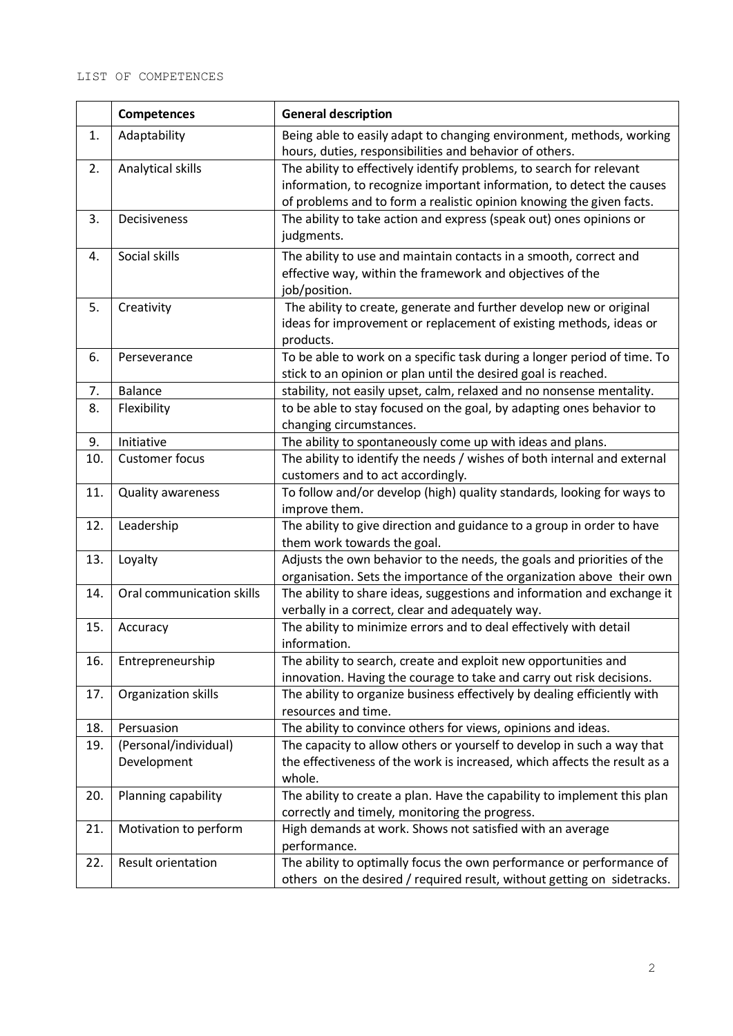|     | <b>Competences</b>                   | <b>General description</b>                                                                                                                                                                                            |
|-----|--------------------------------------|-----------------------------------------------------------------------------------------------------------------------------------------------------------------------------------------------------------------------|
| 1.  | Adaptability                         | Being able to easily adapt to changing environment, methods, working<br>hours, duties, responsibilities and behavior of others.                                                                                       |
| 2.  | Analytical skills                    | The ability to effectively identify problems, to search for relevant<br>information, to recognize important information, to detect the causes<br>of problems and to form a realistic opinion knowing the given facts. |
| 3.  | Decisiveness                         | The ability to take action and express (speak out) ones opinions or<br>judgments.                                                                                                                                     |
| 4.  | Social skills                        | The ability to use and maintain contacts in a smooth, correct and<br>effective way, within the framework and objectives of the<br>job/position.                                                                       |
| 5.  | Creativity                           | The ability to create, generate and further develop new or original<br>ideas for improvement or replacement of existing methods, ideas or<br>products.                                                                |
| 6.  | Perseverance                         | To be able to work on a specific task during a longer period of time. To<br>stick to an opinion or plan until the desired goal is reached.                                                                            |
| 7.  | <b>Balance</b>                       | stability, not easily upset, calm, relaxed and no nonsense mentality.                                                                                                                                                 |
| 8.  | Flexibility                          | to be able to stay focused on the goal, by adapting ones behavior to<br>changing circumstances.                                                                                                                       |
| 9.  | Initiative                           | The ability to spontaneously come up with ideas and plans.                                                                                                                                                            |
| 10. | <b>Customer focus</b>                | The ability to identify the needs / wishes of both internal and external                                                                                                                                              |
|     |                                      | customers and to act accordingly.                                                                                                                                                                                     |
| 11. | Quality awareness                    | To follow and/or develop (high) quality standards, looking for ways to<br>improve them.                                                                                                                               |
| 12. | Leadership                           | The ability to give direction and guidance to a group in order to have                                                                                                                                                |
|     |                                      | them work towards the goal.                                                                                                                                                                                           |
| 13. | Loyalty                              | Adjusts the own behavior to the needs, the goals and priorities of the                                                                                                                                                |
|     |                                      | organisation. Sets the importance of the organization above their own                                                                                                                                                 |
| 14. | Oral communication skills            | The ability to share ideas, suggestions and information and exchange it<br>verbally in a correct, clear and adequately way.                                                                                           |
| 15. | Accuracy                             | The ability to minimize errors and to deal effectively with detail<br>information.                                                                                                                                    |
| 16. | Entrepreneurship                     | The ability to search, create and exploit new opportunities and<br>innovation. Having the courage to take and carry out risk decisions.                                                                               |
| 17. | Organization skills                  | The ability to organize business effectively by dealing efficiently with<br>resources and time.                                                                                                                       |
| 18. | Persuasion                           | The ability to convince others for views, opinions and ideas.                                                                                                                                                         |
| 19. | (Personal/individual)<br>Development | The capacity to allow others or yourself to develop in such a way that<br>the effectiveness of the work is increased, which affects the result as a<br>whole.                                                         |
| 20. | Planning capability                  | The ability to create a plan. Have the capability to implement this plan<br>correctly and timely, monitoring the progress.                                                                                            |
| 21. | Motivation to perform                | High demands at work. Shows not satisfied with an average<br>performance.                                                                                                                                             |
| 22. | Result orientation                   | The ability to optimally focus the own performance or performance of<br>others on the desired / required result, without getting on sidetracks.                                                                       |